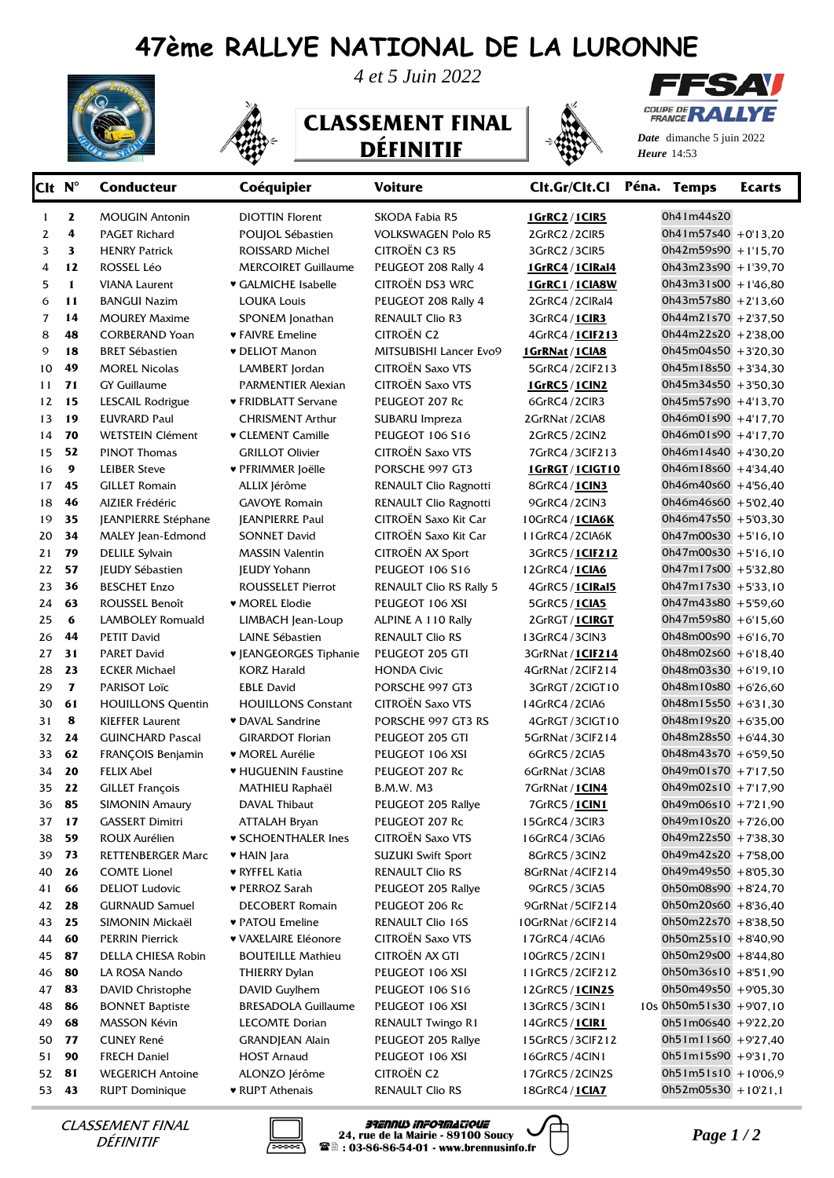## **47ème RALLYE NATIONAL DE LA LURONNE** *4 et 5 Juin 2022*

**DÉFINITIF** 







COUPE DI Æ **FRANCE** 

**1574 V** 

*Date* dimanche 5 juin 2022 *Heure*

| Clt N <sup>°</sup> |              | <b>Conducteur</b>        | Coéquipier                 | <b>Voiture</b>                 | Clt.Gr/Clt.Cl Péna. Temps |                           | <b>Ecarts</b> |
|--------------------|--------------|--------------------------|----------------------------|--------------------------------|---------------------------|---------------------------|---------------|
| $\mathbf{1}$       | 2            | <b>MOUGIN Antonin</b>    | <b>DIOTTIN Florent</b>     | SKODA Fabia R5                 | 1GrRC2/1CIR5              | 0h41m44s20                |               |
| 2                  | 4            | PAGET Richard            | POUJOL Sébastien           | <b>VOLKSWAGEN Polo R5</b>      | 2GrRC2/2ClR5              | $0h41m57s40 + 0'13,20$    |               |
| 3                  | 3            | <b>HENRY Patrick</b>     | ROISSARD Michel            | CITROËN C3 R5                  | 3GrRC2/3CIR5              | $0h42m59s90 + 1'15,70$    |               |
| 4                  | 12           | ROSSEL Léo               | <b>MERCOIRET Guillaume</b> | PEUGEOT 208 Rally 4            | <b>1GrRC4/1ClRal4</b>     | $0h43m23s90 + 1'39,70$    |               |
| 5                  | $\mathbf{1}$ | <b>VIANA Laurent</b>     | ♥ GALMICHE Isabelle        | CITROËN DS3 WRC                | 1GrRC1/1CIA8W             | $0h43m31s00 + 1'46,80$    |               |
| 6                  | 11           | <b>BANGUI Nazim</b>      | LOUKA Louis                | PEUGEOT 208 Rally 4            | 2GrRC4/2ClRal4            | $0h43m57s80$ + 2'13,60    |               |
| 7                  | 14           | <b>MOUREY Maxime</b>     | SPONEM Jonathan            | <b>RENAULT Clio R3</b>         | 3GrRC4 / 1CIR3            | $0h44m21s70$ + 2'37,50    |               |
| 8                  | 48           | <b>CORBERAND Yoan</b>    | ♥ FAIVRE Emeline           | <b>CITROËN C2</b>              | 4GrRC4 / 1CIF213          | $0h44m22s20 + 2'38,00$    |               |
| 9                  | 18           | <b>BRET Sébastien</b>    | <b>v</b> DELIOT Manon      | MITSUBISHI Lancer Evo9         | 1 GrRNat / 1 CIA8         | $0h45m04s50 + 3'20,30$    |               |
| 10                 | 49           | <b>MOREL Nicolas</b>     | LAMBERT Jordan             | <b>CITROËN Saxo VTS</b>        | 5GrRC4 / 2ClF213          | $0h45m18s50 + 3'34,30$    |               |
| 11                 | 71           | <b>GY Guillaume</b>      | PARMENTIER Alexian         | <b>CITROËN Saxo VTS</b>        | 1GrRC5/1CIN2              | $0h45m34s50 + 3'50,30$    |               |
| 12                 | 15           | LESCAIL Rodrigue         | ♥ FRIDBLATT Servane        | PEUGEOT 207 Rc                 | 6GrRC4/2CIR3              | $0h45m57s90 + 4'13,70$    |               |
| 13                 | 19           | <b>EUVRARD Paul</b>      | <b>CHRISMENT Arthur</b>    | SUBARU Impreza                 | 2GrRNat / 2CIA8           | $0h46m01s90 + 4'17,70$    |               |
| 14                 | 70           | WETSTEIN Clément         | ♥ CLEMENT Camille          | PEUGEOT 106 S16                | 2GrRC5/2ClN2              | $0h46m01s90 + 4'17,70$    |               |
| 15                 | 52           | <b>PINOT Thomas</b>      | <b>GRILLOT Olivier</b>     | <b>CITROËN Saxo VTS</b>        | 7GrRC4/3ClF213            | $0h46m14s40 + 430,20$     |               |
| 16                 | 9            | <b>LEIBER Steve</b>      | ♥ PFRIMMER Joëlle          | PORSCHE 997 GT3                | 1GrRGT/1ClGT10            | $0h46m18s60 + 434,40$     |               |
| 17                 | 45           | <b>GILLET Romain</b>     | ALLIX Jérôme               | RENAULT Clio Ragnotti          | 8GrRC4 / 1CIN3            | $0h46m40s60 + 456,40$     |               |
| 18                 | 46           | AIZIER Frédéric          | <b>GAVOYE Romain</b>       | RENAULT Clio Ragnotti          | 9GrRC4/2ClN3              | $0h46m46s60 + 5'02,40$    |               |
| 19                 | 35           | JEANPIERRE Stéphane      | <b>JEANPIERRE Paul</b>     | CITROËN Saxo Kit Car           | 10GrRC4 / 1CIA6K          | $0h46m47s50 + 5'03,30$    |               |
| 20                 | 34           | <b>MALEY</b> Jean-Edmond | <b>SONNET David</b>        | CITROËN Saxo Kit Car           | 11GrRC4/2CIA6K            | $0h47m00s30 + 5'16,10$    |               |
| 21                 | 79           | <b>DELILE Sylvain</b>    | <b>MASSIN Valentin</b>     | CITROËN AX Sport               | 3GrRC5 / 1CIF212          | $0h47m00s30 + 5'16,10$    |               |
| 22                 | 57           | <b>IEUDY Sébastien</b>   | <b>IEUDY Yohann</b>        | <b>PEUGEOT 106 S16</b>         | 12GrRC4 / 1CIA6           | $0h47m17s00 + 5'32,80$    |               |
| 23                 | 36           | <b>BESCHET Enzo</b>      | <b>ROUSSELET Pierrot</b>   | <b>RENAULT Clio RS Rally 5</b> | 4GrRC5 / 1CIRal5          | $0h47m17s30 + 5'33,10$    |               |
| 24                 | 63           | ROUSSEL Benoît           | <b>WOREL Elodie</b>        | PEUGEOT 106 XSI                | 5GrRC5 / 1CIA5            | $0h47m43s80 + 5'59,60$    |               |
| 25                 | 6            | <b>LAMBOLEY Romuald</b>  | LIMBACH Jean-Loup          | ALPINE A 110 Rally             | 2GrRGT/1CIRGT             | $0h47m59s80 + 6'15,60$    |               |
| 26                 | 44           | <b>PETIT David</b>       | LAINE Sébastien            | <b>RENAULT Clio RS</b>         | 13GrRC4/3ClN3             | 0h48m00s90 +6'16,70       |               |
| 27                 | 31           | <b>PARET David</b>       | ♥ JEANGEORGES Tiphanie     | PEUGEOT 205 GTI                | 3GrRNat / 1CIF214         | $0h48m02s60 + 6'18,40$    |               |
| 28                 | 23           | <b>ECKER Michael</b>     | <b>KORZ Harald</b>         | <b>HONDA Civic</b>             | 4GrRNat / 2ClF214         | $0h48m03s30 + 6'19,10$    |               |
| 29                 | $\mathbf{z}$ | PARISOT Loïc             | <b>EBLE David</b>          | PORSCHE 997 GT3                | 3GrRGT/2ClGT10            | $0h48m10s80 + 6'26,60$    |               |
| 30                 | 61           | <b>HOUILLONS Quentin</b> | <b>HOUILLONS Constant</b>  | <b>CITROËN Saxo VTS</b>        | 14GrRC4 / 2CIA6           | $0h48m15s50 + 6'31,30$    |               |
| 31                 | 8            | <b>KIEFFER Laurent</b>   | ♥ DAVAL Sandrine           | PORSCHE 997 GT3 RS             | 4GrRGT/3CIGT10            | $0h48m19s20 + 6'35,00$    |               |
| 32                 | 24           | <b>GUINCHARD Pascal</b>  | <b>GIRARDOT Florian</b>    | PEUGEOT 205 GTI                | 5GrRNat / 3ClF214         | $0h48m28s50 + 6'44,30$    |               |
| 33                 | 62           | FRANÇOIS Benjamin        | ♥ MOREL Aurélie            | PEUGEOT 106 XSI                | 6GrRC5/2CIA5              | $0h48m43s70 + 6'59,50$    |               |
| 34                 | 20           | FELIX Abel               | ♥ HUGUENIN Faustine        | PEUGEOT 207 Rc                 | 6GrRNat / 3CIA8           | $0h49m01s70 + 7'17,50$    |               |
| 35                 | 22           | <b>GILLET François</b>   | MATHIEU Raphaël            | <b>B.M.W. M3</b>               | 7GrRNat / 1 CIN4          | $0h49m02s10 + 7'17,90$    |               |
| 36                 | 85           | <b>SIMONIN Amaury</b>    | DAVAL Thibaut              | PEUGEOT 205 Rallye             | 7GrRC5 / 1CIN1            | $0h49m06s10 + 7'21,90$    |               |
|                    | 37 17        | <b>GASSERT Dimitri</b>   | ATTALAH Bryan              | PEUGEOT 207 Rc                 | 15GrRC4/3ClR3             | $0h49m10s20 + 7'26,00$    |               |
| 38                 | 59           | ROUX Aurélien            | <b>v SCHOENTHALER Ines</b> | <b>CITROËN Saxo VTS</b>        | 16GrRC4/3CIA6             | $0h49m22s50$ + 7'38,30    |               |
| 39                 | 73           | <b>RETTENBERGER Marc</b> | ♥ HAIN Jara                | <b>SUZUKI Swift Sport</b>      | 8GrRC5/3CIN2              | $0h49m42s20$ + 7'58,00    |               |
| 40                 | 26           | <b>COMTE Lionel</b>      | ♥ RYFFEL Katia             | <b>RENAULT Clio RS</b>         | 8GrRNat / 4ClF214         | $0h49m49s50$ +8'05,30     |               |
| 41                 | 66           | <b>DELIOT Ludovic</b>    | ♥ PERROZ Sarah             | PEUGEOT 205 Rallye             | 9GrRC5/3CIA5              | 0h50m08s90 +8'24,70       |               |
| 42                 | 28           | <b>GURNAUD Samuel</b>    | <b>DECOBERT Romain</b>     | PEUGEOT 206 Rc                 | 9GrRNat / 5ClF214         | $0h50m20s60 + 8'36,40$    |               |
| 43                 | 25           | SIMONIN Mickaël          | ♥ PATOU Emeline            | RENAULT Clio 16S               | 10GrRNat / 6ClF214        | 0h50m22s70 +8'38,50       |               |
| 44                 | 60           | <b>PERRIN Pierrick</b>   | ♥ VAXELAIRE Eléonore       | <b>CITROËN Saxo VTS</b>        | 17GrRC4/4CIA6             | $0h50m25s10 + 840,90$     |               |
| 45                 | 87           | DELLA CHIESA Robin       | <b>BOUTEILLE Mathieu</b>   | CITROËN AX GTI                 | 10GrRC5/2CIN1             | $0h50m29s00 + 844,80$     |               |
| 46                 | 80           | LA ROSA Nando            | <b>THIERRY Dylan</b>       | PEUGEOT 106 XSI                | 11GrRC5/2ClF212           | $0h50m36s10 + 851,90$     |               |
| 47                 | 83           | DAVID Christophe         | DAVID Guylhem              | PEUGEOT 106 S16                | 12GrRC5 / 1CIN2S          | $0h50m49s50$ +9'05,30     |               |
| 48                 | 86           | <b>BONNET Baptiste</b>   | <b>BRESADOLA Guillaume</b> | PEUGEOT 106 XSI                | 13GrRC5/3CIN1             | $10s$ 0h50m51s30 +9'07,10 |               |
| 49                 | 68           | MASSON Kévin             | LECOMTE Dorian             | RENAULT Twingo R1              | 14GrRC5 / 1CIR1           | $0h51m06s40 + 922,20$     |               |
| 50                 | 77           | <b>CUNEY René</b>        | <b>GRANDJEAN Alain</b>     | PEUGEOT 205 Rallye             | 15GrRC5/3ClF212           | $0h51m11s60 + 9'27,40$    |               |
| 51                 | 90           | <b>FRECH Daniel</b>      | <b>HOST Arnaud</b>         | PEUGEOT 106 XSI                | 16GrRC5/4CIN1             | $0h51m15s90 + 931,70$     |               |
| 52                 | 81           | <b>WEGERICH Antoine</b>  | ALONZO Jérôme              | <b>CITROËN C2</b>              | 17GrRC5/2ClN2S            | $0h51m51s10 + 10'06,9$    |               |
| 53 43              |              | <b>RUPT Dominique</b>    | ♥ RUPT Athenais            | <b>RENAULT Clio RS</b>         | 18GrRC4 / 1CIA7           | $0h52m05s30 + 10'21,1$    |               |

DÉFINITIF



*PARENT FINAL* **BRANNUS 24, rue de la Mairie - 89100 Soucy**<br>DÉFINITIF **Page 1 / 2**<br>**24** : 03-86-86-54-01 - www.brennusinfo.fr